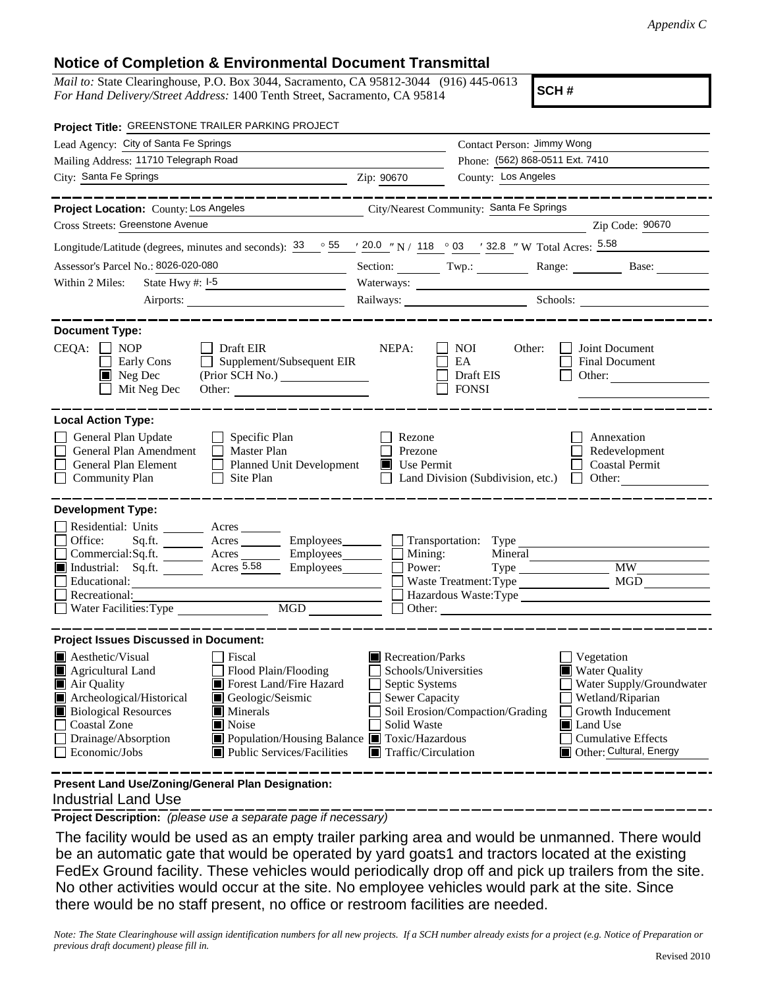## **Notice of Completion & Environmental Document Transmittal**

*Mail to:* State Clearinghouse, P.O. Box 3044, Sacramento, CA 95812-3044 (916) 445-0613 *For Hand Delivery/Street Address:* 1400 Tenth Street, Sacramento, CA 95814

**SCH #**

| Project Title: GREENSTONE TRAILER PARKING PROJECT                                                                                                                                                 |                                 |                                                  |                                                                       |  |
|---------------------------------------------------------------------------------------------------------------------------------------------------------------------------------------------------|---------------------------------|--------------------------------------------------|-----------------------------------------------------------------------|--|
| Lead Agency: City of Santa Fe Springs                                                                                                                                                             |                                 | Contact Person: Jimmy Wong                       |                                                                       |  |
| Mailing Address: 11710 Telegraph Road                                                                                                                                                             |                                 | Phone: (562) 868-0511 Ext. 7410                  |                                                                       |  |
| City: Santa Fe Springs<br><u> 1980 - Johann Barn, mars and de Brasilian (b. 1980)</u>                                                                                                             | Zip: 90670                      | County: Los Angeles                              |                                                                       |  |
| ----------                                                                                                                                                                                        |                                 |                                                  | __________                                                            |  |
| Project Location: County: Los Angeles<br><u> 1989 - Johann Barn, mars and de Branch Barn, mars and de Branch Barn, mars and de Branch Barn, mars and de Br</u>                                    |                                 | City/Nearest Community: Santa Fe Springs         |                                                                       |  |
| Cross Streets: Greenstone Avenue                                                                                                                                                                  |                                 |                                                  | Zip Code: 90670                                                       |  |
| Longitude/Latitude (degrees, minutes and seconds): $\frac{33}{5}$ $\frac{55}{1}$ $\frac{20.0}{118}$ $\frac{1}{10}$ 118 $\degree$ 03 $\degree$ 132.8 $\degree$ W Total Acres: $\frac{5.58}{10.00}$ |                                 |                                                  |                                                                       |  |
| Assessor's Parcel No.: 8026-020-080                                                                                                                                                               |                                 |                                                  | Section: Twp.: Range: Base:                                           |  |
| State Hwy $#: I-5$<br>Within 2 Miles:                                                                                                                                                             |                                 |                                                  |                                                                       |  |
| Airports:                                                                                                                                                                                         |                                 |                                                  | Railways: Schools: Charles Schools:                                   |  |
|                                                                                                                                                                                                   |                                 |                                                  |                                                                       |  |
| <b>Document Type:</b><br>$CEQA: \Box NOP$<br>$\Box$ Draft EIR<br>Early Cons<br>Supplement/Subsequent EIR<br>$\blacksquare$ Neg Dec<br>Mit Neg Dec<br>Other:                                       | NEPA:                           | NOI<br>Other:<br>EA<br>Draft EIS<br><b>FONSI</b> | Joint Document<br>Final Document<br>Other:                            |  |
| <b>Local Action Type:</b>                                                                                                                                                                         |                                 |                                                  |                                                                       |  |
| General Plan Update<br>$\Box$ Specific Plan<br>General Plan Amendment<br>Master Plan<br>General Plan Element<br>□ Planned Unit Development<br><b>Community Plan</b><br>Site Plan<br>$\Box$        | Rezone<br>Prezone<br>Use Permit | Land Division (Subdivision, etc.)                | Annexation<br>Redevelopment<br><b>Coastal Permit</b><br>$\Box$ Other: |  |
| <b>Development Type:</b><br>Residential: Units _________ Acres _______                                                                                                                            |                                 |                                                  |                                                                       |  |
| Office:<br>Sq.ft. ________ Acres _________ Employees ________ __ Transportation: Type                                                                                                             |                                 |                                                  |                                                                       |  |
| $Commercial:Sq.fit.$ $\overline{\phantom{}}$ Acres $\overline{\phantom{}}$ Employees<br>Acres 5.58<br>Industrial: Sq.ft.<br>Employees________                                                     | $\Box$ Mining:<br>Power:        | Mineral                                          | <b>MW</b>                                                             |  |
| Educational:                                                                                                                                                                                      |                                 | Waste Treatment: Type                            | <b>MGD</b>                                                            |  |
| Recreational:                                                                                                                                                                                     |                                 | Hazardous Waste: Type                            |                                                                       |  |
| $\begin{tabular}{ c c } \hline \text{MGD} & \text{---} \\ \hline \end{tabular}$<br>Water Facilities: Type                                                                                         |                                 | $\Box$ Other:                                    |                                                                       |  |
| <b>Project Issues Discussed in Document:</b>                                                                                                                                                      |                                 |                                                  |                                                                       |  |
| <b>Aesthetic/Visual</b><br>  Fiscal                                                                                                                                                               | Recreation/Parks                |                                                  | Vegetation                                                            |  |
| Agricultural Land<br>$\Box$ Flood Plain/Flooding                                                                                                                                                  | Schools/Universities            |                                                  | <b>Water Quality</b>                                                  |  |
| Air Quality<br>Forest Land/Fire Hazard                                                                                                                                                            | Septic Systems                  |                                                  | Water Supply/Groundwater                                              |  |
| Archeological/Historical<br>Geologic/Seismic                                                                                                                                                      | <b>Sewer Capacity</b>           |                                                  | Wetland/Riparian                                                      |  |
| <b>Biological Resources</b><br>Minerals                                                                                                                                                           |                                 | Soil Erosion/Compaction/Grading                  | Growth Inducement                                                     |  |
| <b>Coastal Zone</b><br>Noise                                                                                                                                                                      | Solid Waste                     |                                                  | Land Use                                                              |  |
| Drainage/Absorption<br>Population/Housing Balance Toxic/Hazardous<br>Public Services/Facilities<br>Economic/Jobs                                                                                  | Traffic/Circulation             |                                                  | <b>Cumulative Effects</b><br>Other: Cultural, Energy                  |  |

 Industrial Land Use **Present Land Use/Zoning/General Plan Designation:**

**Project Description:** *(please use a separate page if necessary)*

 The facility would be used as an empty trailer parking area and would be unmanned. There would be an automatic gate that would be operated by yard goats1 and tractors located at the existing FedEx Ground facility. These vehicles would periodically drop off and pick up trailers from the site. No other activities would occur at the site. No employee vehicles would park at the site. Since there would be no staff present, no office or restroom facilities are needed.

*Note: The State Clearinghouse will assign identification numbers for all new projects. If a SCH number already exists for a project (e.g. Notice of Preparation or previous draft document) please fill in.*